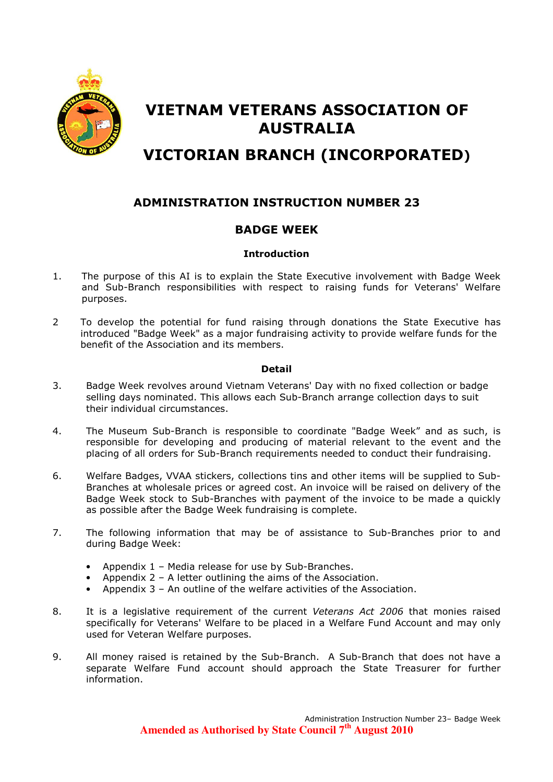

# VIETNAM VETERANS ASSOCIATION OF AUSTRALIA

# VICTORIAN BRANCH (INCORPORATED)

# ADMINISTRATION INSTRUCTION NUMBER 23

# BADGE WEEK

# **Introduction**

- 1. The purpose of this AI is to explain the State Executive involvement with Badge Week and Sub-Branch responsibilities with respect to raising funds for Veterans' Welfare purposes.
- 2 To develop the potential for fund raising through donations the State Executive has introduced "Badge Week" as a major fundraising activity to provide welfare funds for the benefit of the Association and its members.

#### Detail

- 3. Badge Week revolves around Vietnam Veterans' Day with no fixed collection or badge selling days nominated. This allows each Sub-Branch arrange collection days to suit their individual circumstances.
- 4. The Museum Sub-Branch is responsible to coordinate "Badge Week" and as such, is responsible for developing and producing of material relevant to the event and the placing of all orders for Sub-Branch requirements needed to conduct their fundraising.
- 6. Welfare Badges, VVAA stickers, collections tins and other items will be supplied to Sub-Branches at wholesale prices or agreed cost. An invoice will be raised on delivery of the Badge Week stock to Sub-Branches with payment of the invoice to be made a quickly as possible after the Badge Week fundraising is complete.
- 7. The following information that may be of assistance to Sub-Branches prior to and during Badge Week:
	- Appendix 1 Media release for use by Sub-Branches.
	- Appendix  $2 A$  letter outlining the aims of the Association.
	- Appendix 3 An outline of the welfare activities of the Association.
- 8. It is a legislative requirement of the current Veterans Act 2006 that monies raised specifically for Veterans' Welfare to be placed in a Welfare Fund Account and may only used for Veteran Welfare purposes.
- 9. All money raised is retained by the Sub-Branch. A Sub-Branch that does not have a separate Welfare Fund account should approach the State Treasurer for further information.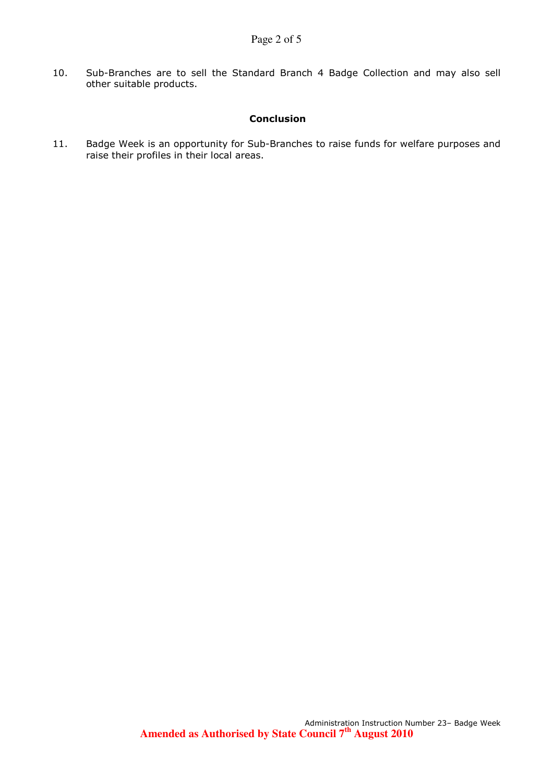10. Sub-Branches are to sell the Standard Branch 4 Badge Collection and may also sell other suitable products.

# Conclusion

11. Badge Week is an opportunity for Sub-Branches to raise funds for welfare purposes and raise their profiles in their local areas.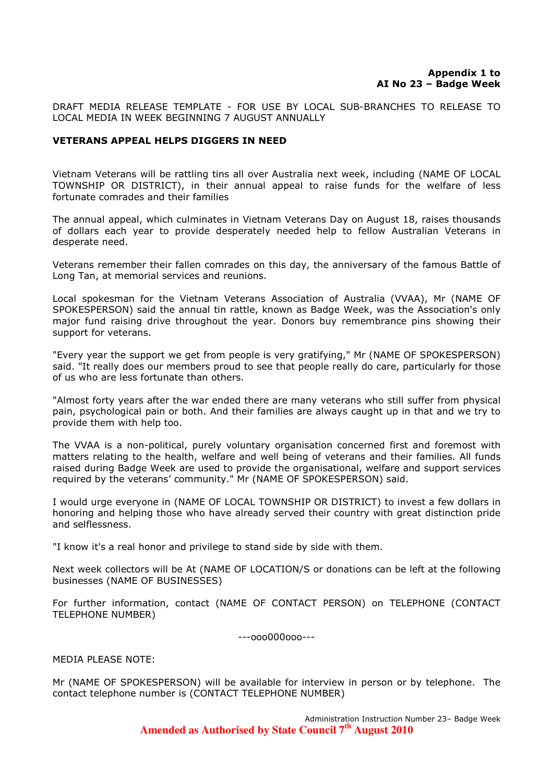DRAFT MEDIA RELEASE TEMPLATE - FOR USE BY LOCAL SUB-BRANCHES TO RELEASE TO LOCAL MEDIA IN WEEK BEGINNING 7 AUGUST ANNUALLY

# VETERANS APPEAL HELPS DIGGERS IN NEED

Vietnam Veterans will be rattling tins all over Australia next week, including (NAME OF LOCAL TOWNSHIP OR DISTRICT), in their annual appeal to raise funds for the welfare of less fortunate comrades and their families

The annual appeal, which culminates in Vietnam Veterans Day on August 18, raises thousands of dollars each year to provide desperately needed help to fellow Australian Veterans in desperate need.

Veterans remember their fallen comrades on this day, the anniversary of the famous Battle of Long Tan, at memorial services and reunions.

Local spokesman for the Vietnam Veterans Association of Australia (VVAA), Mr (NAME OF SPOKESPERSON) said the annual tin rattle, known as Badge Week, was the Association's only major fund raising drive throughout the year. Donors buy remembrance pins showing their support for veterans.

"Every year the support we get from people is very gratifying," Mr (NAME OF SPOKESPERSON) said. "It really does our members proud to see that people really do care, particularly for those of us who are less fortunate than others.

"Almost forty years after the war ended there are many veterans who still suffer from physical pain, psychological pain or both. And their families are always caught up in that and we try to provide them with help too.

The VVAA is a non-political, purely voluntary organisation concerned first and foremost with matters relating to the health, welfare and well being of veterans and their families. All funds raised during Badge Week are used to provide the organisational, welfare and support services required by the veterans' community." Mr (NAME OF SPOKESPERSON) said.

I would urge everyone in (NAME OF LOCAL TOWNSHIP OR DISTRICT) to invest a few dollars in honoring and helping those who have already served their country with great distinction pride and selflessness.

"I know it's a real honor and privilege to stand side by side with them.

Next week collectors will be At (NAME OF LOCATION/S or donations can be left at the following businesses (NAME OF BUSINESSES)

For further information, contact (NAME OF CONTACT PERSON) on TELEPHONE (CONTACT TELEPHONE NUMBER)

---ooo000ooo---

MEDIA PLEASE NOTE:

Mr (NAME OF SPOKESPERSON) will be available for interview in person or by telephone. The contact telephone number is (CONTACT TELEPHONE NUMBER)

> Administration Instruction Number 23– Badge Week **Amended as Authorised by State Council 7th August 2010**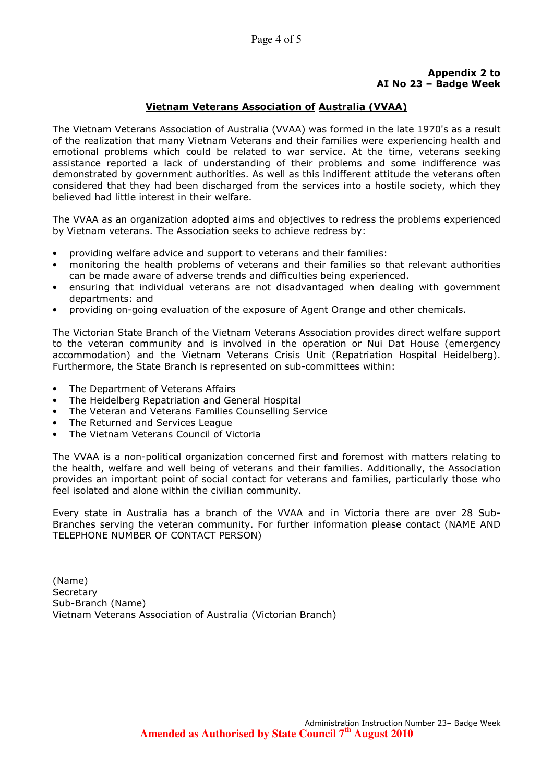# Appendix 2 to AI No 23 – Badge Week

# Vietnam Veterans Association of Australia (VVAA)

The Vietnam Veterans Association of Australia (VVAA) was formed in the late 1970's as a result of the realization that many Vietnam Veterans and their families were experiencing health and emotional problems which could be related to war service. At the time, veterans seeking assistance reported a lack of understanding of their problems and some indifference was demonstrated by government authorities. As well as this indifferent attitude the veterans often considered that they had been discharged from the services into a hostile society, which they believed had little interest in their welfare.

The VVAA as an organization adopted aims and objectives to redress the problems experienced by Vietnam veterans. The Association seeks to achieve redress by:

- providing welfare advice and support to veterans and their families:
- monitoring the health problems of veterans and their families so that relevant authorities can be made aware of adverse trends and difficulties being experienced.
- ensuring that individual veterans are not disadvantaged when dealing with government departments: and
- providing on-going evaluation of the exposure of Agent Orange and other chemicals.

The Victorian State Branch of the Vietnam Veterans Association provides direct welfare support to the veteran community and is involved in the operation or Nui Dat House (emergency accommodation) and the Vietnam Veterans Crisis Unit (Repatriation Hospital Heidelberg). Furthermore, the State Branch is represented on sub-committees within:

- The Department of Veterans Affairs
- The Heidelberg Repatriation and General Hospital
- The Veteran and Veterans Families Counselling Service
- The Returned and Services League
- The Vietnam Veterans Council of Victoria

The VVAA is a non-political organization concerned first and foremost with matters relating to the health, welfare and well being of veterans and their families. Additionally, the Association provides an important point of social contact for veterans and families, particularly those who feel isolated and alone within the civilian community.

Every state in Australia has a branch of the VVAA and in Victoria there are over 28 Sub-Branches serving the veteran community. For further information please contact (NAME AND TELEPHONE NUMBER OF CONTACT PERSON)

(Name) **Secretary** Sub-Branch (Name) Vietnam Veterans Association of Australia (Victorian Branch)